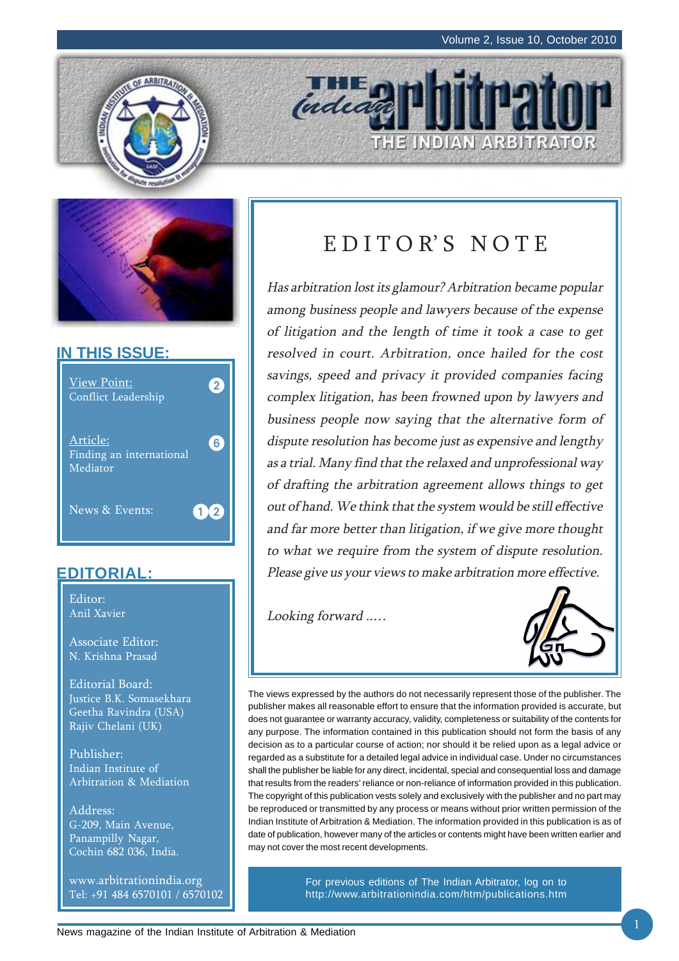THE INDIAN ARBITRATOR





### **IN THIS ISSUE:**



## **EDITORIAL:**

Editor: Anil Xavier

Associate Editor: N. Krishna Prasad

Editorial Board: Justice B.K. Somasekhara Geetha Ravindra (USA) Rajiv Chelani (UK)

Publisher: Indian Institute of Arbitration & Mediation

Address: G-209, Main Avenue, Panampilly Nagar, Cochin 682 036, India.

www.arbitrationindia.org Tel: +91 484 6570101 / 6570102

# EDITOR'S NOTE

indeal

Has arbitration lost its glamour? Arbitration became popular among business people and lawyers because of the expense of litigation and the length of time it took a case to get resolved in court. Arbitration, once hailed for the cost savings, speed and privacy it provided companies facing complex litigation, has been frowned upon by lawyers and business people now saying that the alternative form of dispute resolution has become just as expensive and lengthy as a trial. Many find that the relaxed and unprofessional way of drafting the arbitration agreement allows things to get out of hand. We think that the system would be still effective and far more better than litigation, if we give more thought to what we require from the system of dispute resolution. Please give us your views to make arbitration more effective.

Looking forward ..…



The views expressed by the authors do not necessarily represent those of the publisher. The publisher makes all reasonable effort to ensure that the information provided is accurate, but does not guarantee or warranty accuracy, validity, completeness or suitability of the contents for any purpose. The information contained in this publication should not form the basis of any decision as to a particular course of action; nor should it be relied upon as a legal advice or regarded as a substitute for a detailed legal advice in individual case. Under no circumstances shall the publisher be liable for any direct, incidental, special and consequential loss and damage that results from the readers' reliance or non-reliance of information provided in this publication. The copyright of this publication vests solely and exclusively with the publisher and no part may be reproduced or transmitted by any process or means without prior written permission of the Indian Institute of Arbitration & Mediation. The information provided in this publication is as of date of publication, however many of the articles or contents might have been written earlier and may not cover the most recent developments.

> For previous editions of The Indian Arbitrator, log on to http://www.arbitrationindia.com/htm/publications.htm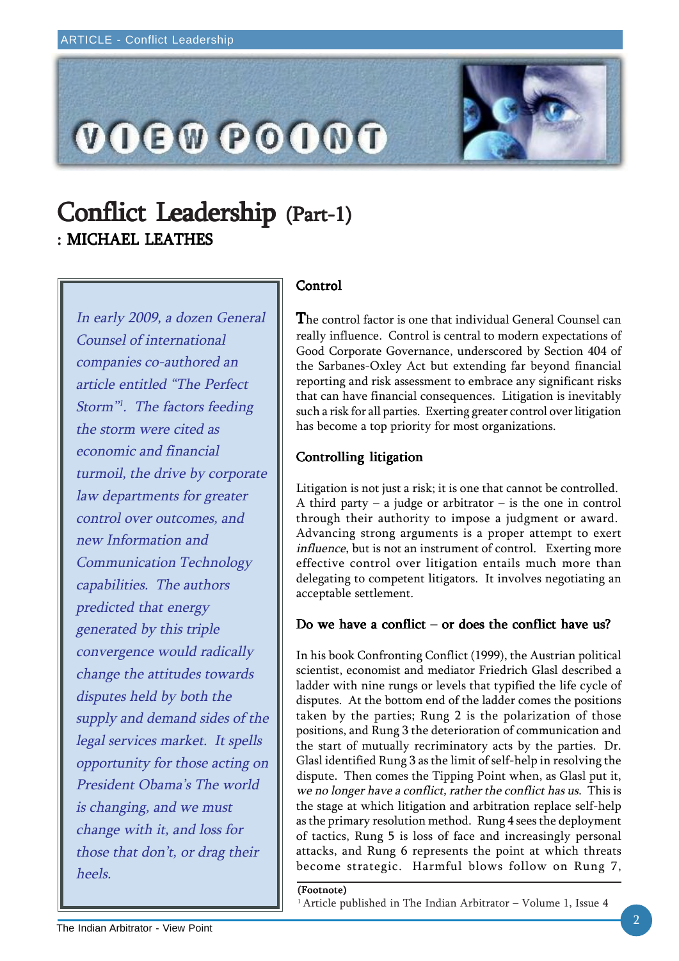

## Conflict Leadership (Part-1) : MICHAEL LEATHES

In early 2009, a dozen General Counsel of international companies co-authored an article entitled "The Perfect Storm"1. The factors feeding the storm were cited as economic and financial turmoil, the drive by corporate law departments for greater control over outcomes, and new Information and Communication Technology capabilities. The authors predicted that energy generated by this triple convergence would radically change the attitudes towards disputes held by both the supply and demand sides of the legal services market. It spells opportunity for those acting on President Obama's The world is changing, and we must change with it, and loss for those that don't, or drag their heels.

### Control

The control factor is one that individual General Counsel can really influence. Control is central to modern expectations of Good Corporate Governance, underscored by Section 404 of the Sarbanes-Oxley Act but extending far beyond financial reporting and risk assessment to embrace any significant risks that can have financial consequences. Litigation is inevitably such a risk for all parties. Exerting greater control over litigation has become a top priority for most organizations.

### Controlling litigation

Litigation is not just a risk; it is one that cannot be controlled. A third party  $-$  a judge or arbitrator  $-$  is the one in control through their authority to impose a judgment or award. Advancing strong arguments is a proper attempt to exert influence, but is not an instrument of control. Exerting more effective control over litigation entails much more than delegating to competent litigators. It involves negotiating an acceptable settlement.

### Do we have a conflict – or does the conflict have us?

In his book Confronting Conflict (1999), the Austrian political scientist, economist and mediator Friedrich Glasl described a ladder with nine rungs or levels that typified the life cycle of disputes. At the bottom end of the ladder comes the positions taken by the parties; Rung 2 is the polarization of those positions, and Rung 3 the deterioration of communication and the start of mutually recriminatory acts by the parties. Dr. Glasl identified Rung 3 as the limit of self-help in resolving the dispute. Then comes the Tipping Point when, as Glasl put it, we no longer have a conflict, rather the conflict has us. This is the stage at which litigation and arbitration replace self-help as the primary resolution method. Rung 4 sees the deployment of tactics, Rung 5 is loss of face and increasingly personal attacks, and Rung 6 represents the point at which threats become strategic. Harmful blows follow on Rung 7,

#### (Footnote)

 $1$  Article published in The Indian Arbitrator – Volume 1, Issue 4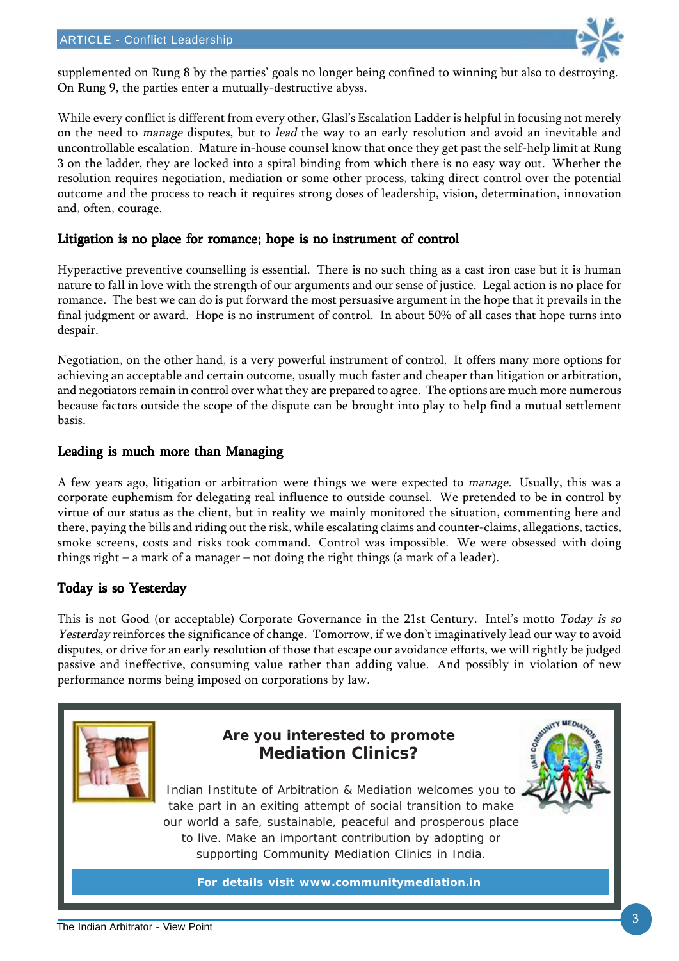

supplemented on Rung 8 by the parties' goals no longer being confined to winning but also to destroying. On Rung 9, the parties enter a mutually-destructive abyss.

While every conflict is different from every other, Glasl's Escalation Ladder is helpful in focusing not merely on the need to *manage* disputes, but to *lead* the way to an early resolution and avoid an inevitable and uncontrollable escalation. Mature in-house counsel know that once they get past the self-help limit at Rung 3 on the ladder, they are locked into a spiral binding from which there is no easy way out. Whether the resolution requires negotiation, mediation or some other process, taking direct control over the potential outcome and the process to reach it requires strong doses of leadership, vision, determination, innovation and, often, courage.

### Litigation is no place for romance; hope is no instrument of control

Hyperactive preventive counselling is essential. There is no such thing as a cast iron case but it is human nature to fall in love with the strength of our arguments and our sense of justice. Legal action is no place for romance. The best we can do is put forward the most persuasive argument in the hope that it prevails in the final judgment or award. Hope is no instrument of control. In about 50% of all cases that hope turns into despair.

Negotiation, on the other hand, is a very powerful instrument of control. It offers many more options for achieving an acceptable and certain outcome, usually much faster and cheaper than litigation or arbitration, and negotiators remain in control over what they are prepared to agree. The options are much more numerous because factors outside the scope of the dispute can be brought into play to help find a mutual settlement basis.

### Leading is much more than Managing

A few years ago, litigation or arbitration were things we were expected to manage. Usually, this was a corporate euphemism for delegating real influence to outside counsel. We pretended to be in control by virtue of our status as the client, but in reality we mainly monitored the situation, commenting here and there, paying the bills and riding out the risk, while escalating claims and counter-claims, allegations, tactics, smoke screens, costs and risks took command. Control was impossible. We were obsessed with doing things right – a mark of a manager – not doing the right things (a mark of a leader).

### Today is so Yesterday

This is not Good (or acceptable) Corporate Governance in the 21st Century. Intel's motto Today is so Yesterday reinforces the significance of change. Tomorrow, if we don't imaginatively lead our way to avoid disputes, or drive for an early resolution of those that escape our avoidance efforts, we will rightly be judged passive and ineffective, consuming value rather than adding value. And possibly in violation of new performance norms being imposed on corporations by law.

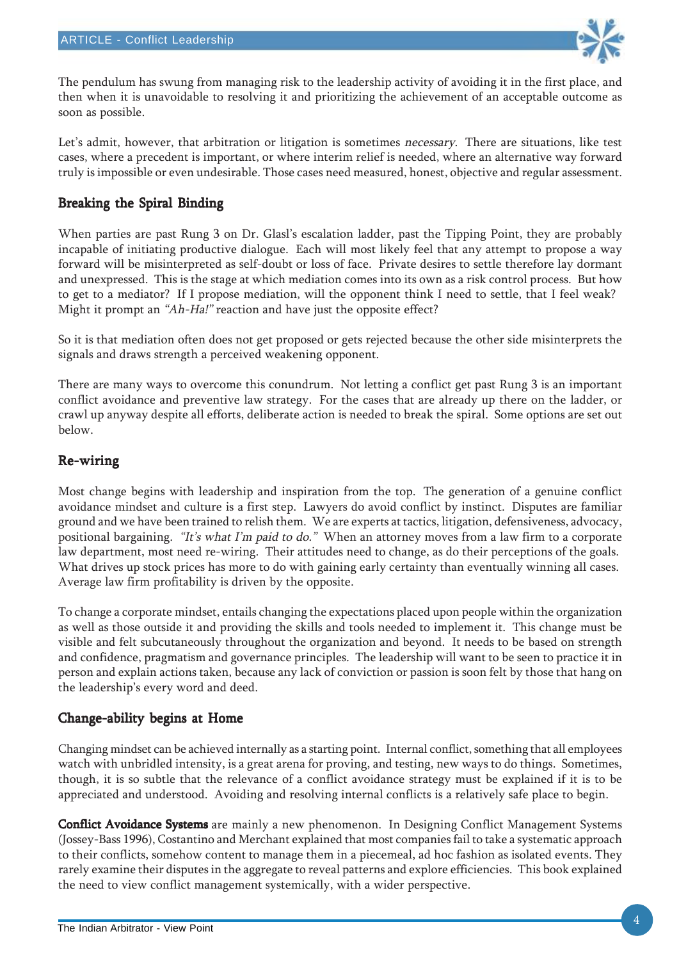

The pendulum has swung from managing risk to the leadership activity of avoiding it in the first place, and then when it is unavoidable to resolving it and prioritizing the achievement of an acceptable outcome as soon as possible.

Let's admit, however, that arbitration or litigation is sometimes necessary. There are situations, like test cases, where a precedent is important, or where interim relief is needed, where an alternative way forward truly is impossible or even undesirable. Those cases need measured, honest, objective and regular assessment.

### Breaking the Spiral Binding

When parties are past Rung 3 on Dr. Glasl's escalation ladder, past the Tipping Point, they are probably incapable of initiating productive dialogue. Each will most likely feel that any attempt to propose a way forward will be misinterpreted as self-doubt or loss of face. Private desires to settle therefore lay dormant and unexpressed. This is the stage at which mediation comes into its own as a risk control process. But how to get to a mediator? If I propose mediation, will the opponent think I need to settle, that I feel weak? Might it prompt an "Ah-Ha!" reaction and have just the opposite effect?

So it is that mediation often does not get proposed or gets rejected because the other side misinterprets the signals and draws strength a perceived weakening opponent.

There are many ways to overcome this conundrum. Not letting a conflict get past Rung 3 is an important conflict avoidance and preventive law strategy. For the cases that are already up there on the ladder, or crawl up anyway despite all efforts, deliberate action is needed to break the spiral. Some options are set out below.

### Re-wiring

Most change begins with leadership and inspiration from the top. The generation of a genuine conflict avoidance mindset and culture is a first step. Lawyers do avoid conflict by instinct. Disputes are familiar ground and we have been trained to relish them. We are experts at tactics, litigation, defensiveness, advocacy, positional bargaining. "It's what I'm paid to do." When an attorney moves from a law firm to a corporate law department, most need re-wiring. Their attitudes need to change, as do their perceptions of the goals. What drives up stock prices has more to do with gaining early certainty than eventually winning all cases. Average law firm profitability is driven by the opposite.

To change a corporate mindset, entails changing the expectations placed upon people within the organization as well as those outside it and providing the skills and tools needed to implement it. This change must be visible and felt subcutaneously throughout the organization and beyond. It needs to be based on strength and confidence, pragmatism and governance principles. The leadership will want to be seen to practice it in person and explain actions taken, because any lack of conviction or passion is soon felt by those that hang on the leadership's every word and deed.

### Change-ability begins at Home

Changing mindset can be achieved internally as a starting point. Internal conflict, something that all employees watch with unbridled intensity, is a great arena for proving, and testing, new ways to do things. Sometimes, though, it is so subtle that the relevance of a conflict avoidance strategy must be explained if it is to be appreciated and understood. Avoiding and resolving internal conflicts is a relatively safe place to begin.

**Conflict Avoidance Systems** are mainly a new phenomenon. In Designing Conflict Management Systems (Jossey-Bass 1996), Costantino and Merchant explained that most companies fail to take a systematic approach to their conflicts, somehow content to manage them in a piecemeal, ad hoc fashion as isolated events. They rarely examine their disputes in the aggregate to reveal patterns and explore efficiencies. This book explained the need to view conflict management systemically, with a wider perspective.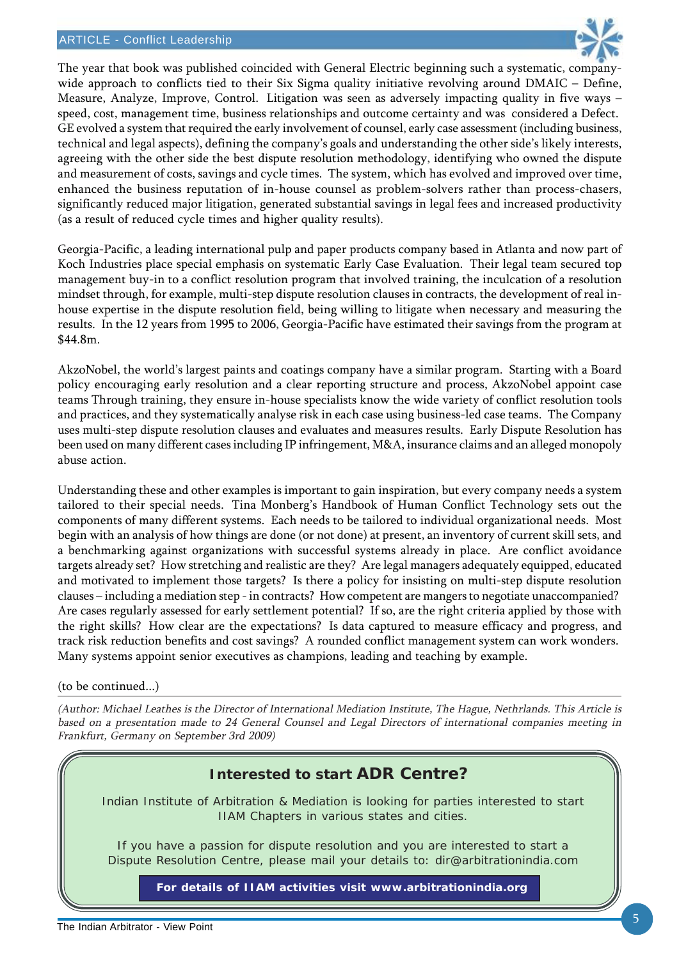

The year that book was published coincided with General Electric beginning such a systematic, companywide approach to conflicts tied to their Six Sigma quality initiative revolving around DMAIC – Define, Measure, Analyze, Improve, Control. Litigation was seen as adversely impacting quality in five ways – speed, cost, management time, business relationships and outcome certainty and was considered a Defect. GE evolved a system that required the early involvement of counsel, early case assessment (including business, technical and legal aspects), defining the company's goals and understanding the other side's likely interests, agreeing with the other side the best dispute resolution methodology, identifying who owned the dispute and measurement of costs, savings and cycle times. The system, which has evolved and improved over time, enhanced the business reputation of in-house counsel as problem-solvers rather than process-chasers, significantly reduced major litigation, generated substantial savings in legal fees and increased productivity (as a result of reduced cycle times and higher quality results).

Georgia-Pacific, a leading international pulp and paper products company based in Atlanta and now part of Koch Industries place special emphasis on systematic Early Case Evaluation. Their legal team secured top management buy-in to a conflict resolution program that involved training, the inculcation of a resolution mindset through, for example, multi-step dispute resolution clauses in contracts, the development of real inhouse expertise in the dispute resolution field, being willing to litigate when necessary and measuring the results. In the 12 years from 1995 to 2006, Georgia-Pacific have estimated their savings from the program at \$44.8m.

AkzoNobel, the world's largest paints and coatings company have a similar program. Starting with a Board policy encouraging early resolution and a clear reporting structure and process, AkzoNobel appoint case teams Through training, they ensure in-house specialists know the wide variety of conflict resolution tools and practices, and they systematically analyse risk in each case using business-led case teams. The Company uses multi-step dispute resolution clauses and evaluates and measures results. Early Dispute Resolution has been used on many different cases including IP infringement, M&A, insurance claims and an alleged monopoly abuse action.

Understanding these and other examples is important to gain inspiration, but every company needs a system tailored to their special needs. Tina Monberg's Handbook of Human Conflict Technology sets out the components of many different systems. Each needs to be tailored to individual organizational needs. Most begin with an analysis of how things are done (or not done) at present, an inventory of current skill sets, and a benchmarking against organizations with successful systems already in place. Are conflict avoidance targets already set? How stretching and realistic are they? Are legal managers adequately equipped, educated and motivated to implement those targets? Is there a policy for insisting on multi-step dispute resolution clauses – including a mediation step - in contracts? How competent are mangers to negotiate unaccompanied? Are cases regularly assessed for early settlement potential? If so, are the right criteria applied by those with the right skills? How clear are the expectations? Is data captured to measure efficacy and progress, and track risk reduction benefits and cost savings? A rounded conflict management system can work wonders. Many systems appoint senior executives as champions, leading and teaching by example.

(to be continued...)

(Author: Michael Leathes is the Director of International Mediation Institute, The Hague, Nethrlands. This Article is based on a presentation made to 24 General Counsel and Legal Directors of international companies meeting in Frankfurt, Germany on September 3rd 2009)

## **Interested to start ADR Centre?**

Indian Institute of Arbitration & Mediation is looking for parties interested to start IIAM Chapters in various states and cities.

If you have a passion for dispute resolution and you are interested to start a Dispute Resolution Centre, please mail your details to: dir@arbitrationindia.com

**For details of IIAM activities visit www.arbitrationindia.org**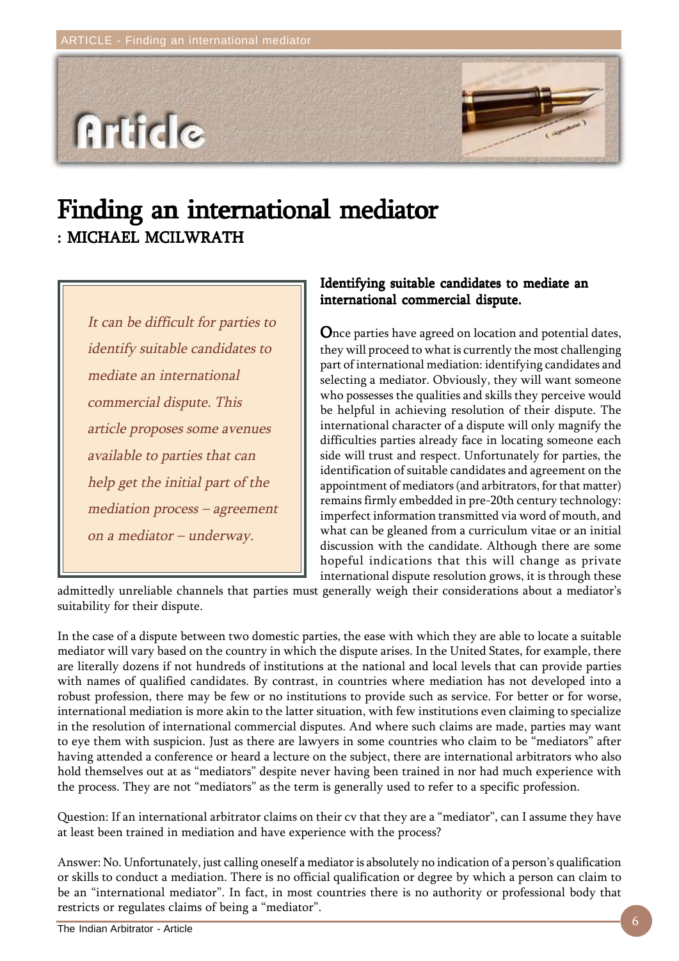

## Finding an international mediator : MICHAEL MCILWRATH

It can be difficult for parties to identify suitable candidates to mediate an international commercial dispute. This article proposes some avenues available to parties that can help get the initial part of the mediation process – agreement on a mediator – underway.

### Identifying suitable candidates to mediate an international commercial dispute.

Once parties have agreed on location and potential dates, they will proceed to what is currently the most challenging part of international mediation: identifying candidates and selecting a mediator. Obviously, they will want someone who possesses the qualities and skills they perceive would be helpful in achieving resolution of their dispute. The international character of a dispute will only magnify the difficulties parties already face in locating someone each side will trust and respect. Unfortunately for parties, the identification of suitable candidates and agreement on the appointment of mediators (and arbitrators, for that matter) remains firmly embedded in pre-20th century technology: imperfect information transmitted via word of mouth, and what can be gleaned from a curriculum vitae or an initial discussion with the candidate. Although there are some hopeful indications that this will change as private international dispute resolution grows, it is through these

admittedly unreliable channels that parties must generally weigh their considerations about a mediator's suitability for their dispute.

In the case of a dispute between two domestic parties, the ease with which they are able to locate a suitable mediator will vary based on the country in which the dispute arises. In the United States, for example, there are literally dozens if not hundreds of institutions at the national and local levels that can provide parties with names of qualified candidates. By contrast, in countries where mediation has not developed into a robust profession, there may be few or no institutions to provide such as service. For better or for worse, international mediation is more akin to the latter situation, with few institutions even claiming to specialize in the resolution of international commercial disputes. And where such claims are made, parties may want to eye them with suspicion. Just as there are lawyers in some countries who claim to be "mediators" after having attended a conference or heard a lecture on the subject, there are international arbitrators who also hold themselves out at as "mediators" despite never having been trained in nor had much experience with the process. They are not "mediators" as the term is generally used to refer to a specific profession.

Question: If an international arbitrator claims on their cv that they are a "mediator", can I assume they have at least been trained in mediation and have experience with the process?

Answer: No. Unfortunately, just calling oneself a mediator is absolutely no indication of a person's qualification or skills to conduct a mediation. There is no official qualification or degree by which a person can claim to be an "international mediator". In fact, in most countries there is no authority or professional body that restricts or regulates claims of being a "mediator".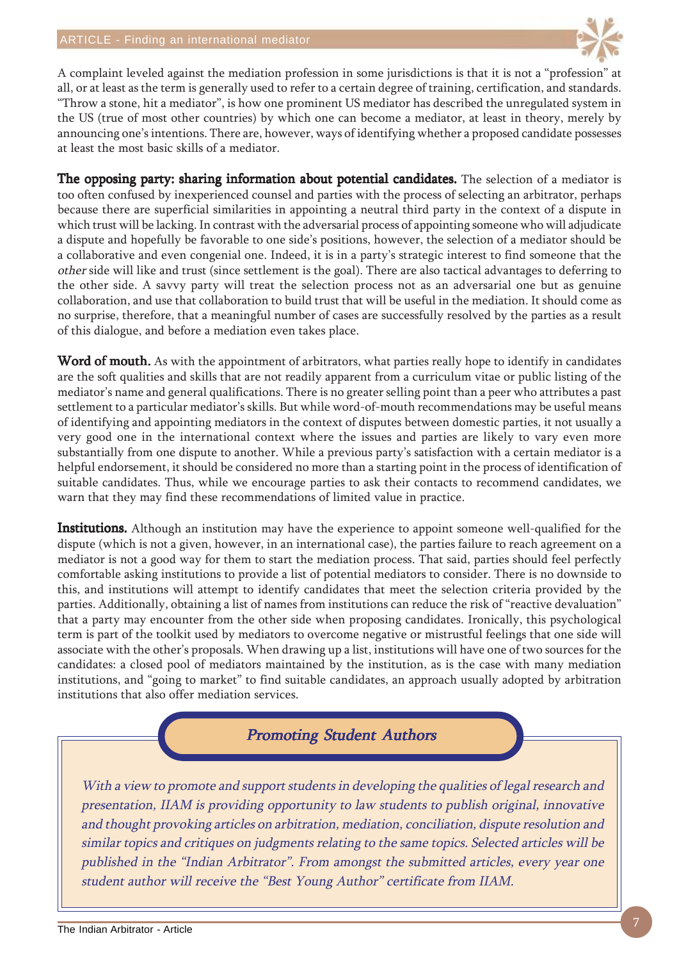

A complaint leveled against the mediation profession in some jurisdictions is that it is not a "profession" at all, or at least as the term is generally used to refer to a certain degree of training, certification, and standards. "Throw a stone, hit a mediator", is how one prominent US mediator has described the unregulated system in the US (true of most other countries) by which one can become a mediator, at least in theory, merely by announcing one's intentions. There are, however, ways of identifying whether a proposed candidate possesses at least the most basic skills of a mediator.

The opposing party: sharing information about potential candidates. The selection of a mediator is too often confused by inexperienced counsel and parties with the process of selecting an arbitrator, perhaps because there are superficial similarities in appointing a neutral third party in the context of a dispute in which trust will be lacking. In contrast with the adversarial process of appointing someone who will adjudicate a dispute and hopefully be favorable to one side's positions, however, the selection of a mediator should be a collaborative and even congenial one. Indeed, it is in a party's strategic interest to find someone that the other side will like and trust (since settlement is the goal). There are also tactical advantages to deferring to the other side. A savvy party will treat the selection process not as an adversarial one but as genuine collaboration, and use that collaboration to build trust that will be useful in the mediation. It should come as no surprise, therefore, that a meaningful number of cases are successfully resolved by the parties as a result of this dialogue, and before a mediation even takes place.

Word of mouth. As with the appointment of arbitrators, what parties really hope to identify in candidates are the soft qualities and skills that are not readily apparent from a curriculum vitae or public listing of the mediator's name and general qualifications. There is no greater selling point than a peer who attributes a past settlement to a particular mediator's skills. But while word-of-mouth recommendations may be useful means of identifying and appointing mediators in the context of disputes between domestic parties, it not usually a very good one in the international context where the issues and parties are likely to vary even more substantially from one dispute to another. While a previous party's satisfaction with a certain mediator is a helpful endorsement, it should be considered no more than a starting point in the process of identification of suitable candidates. Thus, while we encourage parties to ask their contacts to recommend candidates, we warn that they may find these recommendations of limited value in practice.

Institutions. Although an institution may have the experience to appoint someone well-qualified for the dispute (which is not a given, however, in an international case), the parties failure to reach agreement on a mediator is not a good way for them to start the mediation process. That said, parties should feel perfectly comfortable asking institutions to provide a list of potential mediators to consider. There is no downside to this, and institutions will attempt to identify candidates that meet the selection criteria provided by the parties. Additionally, obtaining a list of names from institutions can reduce the risk of "reactive devaluation" that a party may encounter from the other side when proposing candidates. Ironically, this psychological term is part of the toolkit used by mediators to overcome negative or mistrustful feelings that one side will associate with the other's proposals. When drawing up a list, institutions will have one of two sources for the candidates: a closed pool of mediators maintained by the institution, as is the case with many mediation institutions, and "going to market" to find suitable candidates, an approach usually adopted by arbitration institutions that also offer mediation services.

## **Promoting Student Authors**

With a view to promote and support students in developing the qualities of legal research and presentation, IIAM is providing opportunity to law students to publish original, innovative and thought provoking articles on arbitration, mediation, conciliation, dispute resolution and similar topics and critiques on judgments relating to the same topics. Selected articles will be published in the "Indian Arbitrator". From amongst the submitted articles, every year one student author will receive the "Best Young Author" certificate from IIAM.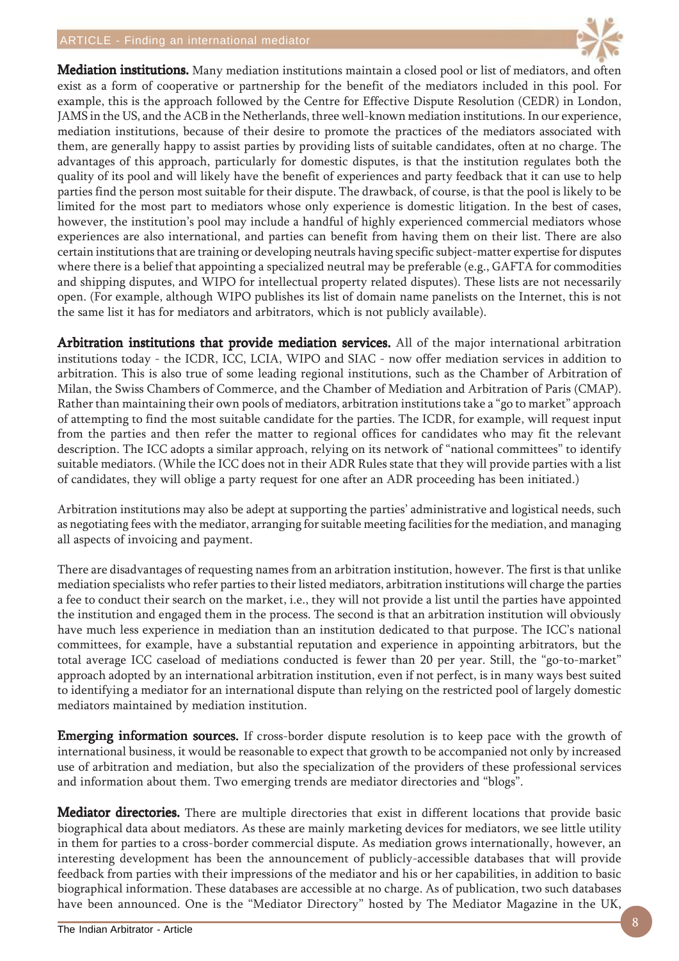#### ARTICLE - Finding an international mediator



Mediation institutions. Many mediation institutions maintain a closed pool or list of mediators, and often exist as a form of cooperative or partnership for the benefit of the mediators included in this pool. For example, this is the approach followed by the Centre for Effective Dispute Resolution (CEDR) in London, JAMS in the US, and the ACB in the Netherlands, three well-known mediation institutions. In our experience, mediation institutions, because of their desire to promote the practices of the mediators associated with them, are generally happy to assist parties by providing lists of suitable candidates, often at no charge. The advantages of this approach, particularly for domestic disputes, is that the institution regulates both the quality of its pool and will likely have the benefit of experiences and party feedback that it can use to help parties find the person most suitable for their dispute. The drawback, of course, is that the pool is likely to be limited for the most part to mediators whose only experience is domestic litigation. In the best of cases, however, the institution's pool may include a handful of highly experienced commercial mediators whose experiences are also international, and parties can benefit from having them on their list. There are also certain institutions that are training or developing neutrals having specific subject-matter expertise for disputes where there is a belief that appointing a specialized neutral may be preferable (e.g., GAFTA for commodities and shipping disputes, and WIPO for intellectual property related disputes). These lists are not necessarily open. (For example, although WIPO publishes its list of domain name panelists on the Internet, this is not the same list it has for mediators and arbitrators, which is not publicly available).

Arbitration institutions that provide mediation services. All of the major international arbitration institutions today - the ICDR, ICC, LCIA, WIPO and SIAC - now offer mediation services in addition to arbitration. This is also true of some leading regional institutions, such as the Chamber of Arbitration of Milan, the Swiss Chambers of Commerce, and the Chamber of Mediation and Arbitration of Paris (CMAP). Rather than maintaining their own pools of mediators, arbitration institutions take a "go to market" approach of attempting to find the most suitable candidate for the parties. The ICDR, for example, will request input from the parties and then refer the matter to regional offices for candidates who may fit the relevant description. The ICC adopts a similar approach, relying on its network of "national committees" to identify suitable mediators. (While the ICC does not in their ADR Rules state that they will provide parties with a list of candidates, they will oblige a party request for one after an ADR proceeding has been initiated.)

Arbitration institutions may also be adept at supporting the parties' administrative and logistical needs, such as negotiating fees with the mediator, arranging for suitable meeting facilities for the mediation, and managing all aspects of invoicing and payment.

There are disadvantages of requesting names from an arbitration institution, however. The first is that unlike mediation specialists who refer parties to their listed mediators, arbitration institutions will charge the parties a fee to conduct their search on the market, i.e., they will not provide a list until the parties have appointed the institution and engaged them in the process. The second is that an arbitration institution will obviously have much less experience in mediation than an institution dedicated to that purpose. The ICC's national committees, for example, have a substantial reputation and experience in appointing arbitrators, but the total average ICC caseload of mediations conducted is fewer than 20 per year. Still, the "go-to-market" approach adopted by an international arbitration institution, even if not perfect, is in many ways best suited to identifying a mediator for an international dispute than relying on the restricted pool of largely domestic mediators maintained by mediation institution.

**Emerging information sources.** If cross-border dispute resolution is to keep pace with the growth of international business, it would be reasonable to expect that growth to be accompanied not only by increased use of arbitration and mediation, but also the specialization of the providers of these professional services and information about them. Two emerging trends are mediator directories and "blogs".

**Mediator directories.** There are multiple directories that exist in different locations that provide basic biographical data about mediators. As these are mainly marketing devices for mediators, we see little utility in them for parties to a cross-border commercial dispute. As mediation grows internationally, however, an interesting development has been the announcement of publicly-accessible databases that will provide feedback from parties with their impressions of the mediator and his or her capabilities, in addition to basic biographical information. These databases are accessible at no charge. As of publication, two such databases have been announced. One is the "Mediator Directory" hosted by The Mediator Magazine in the UK,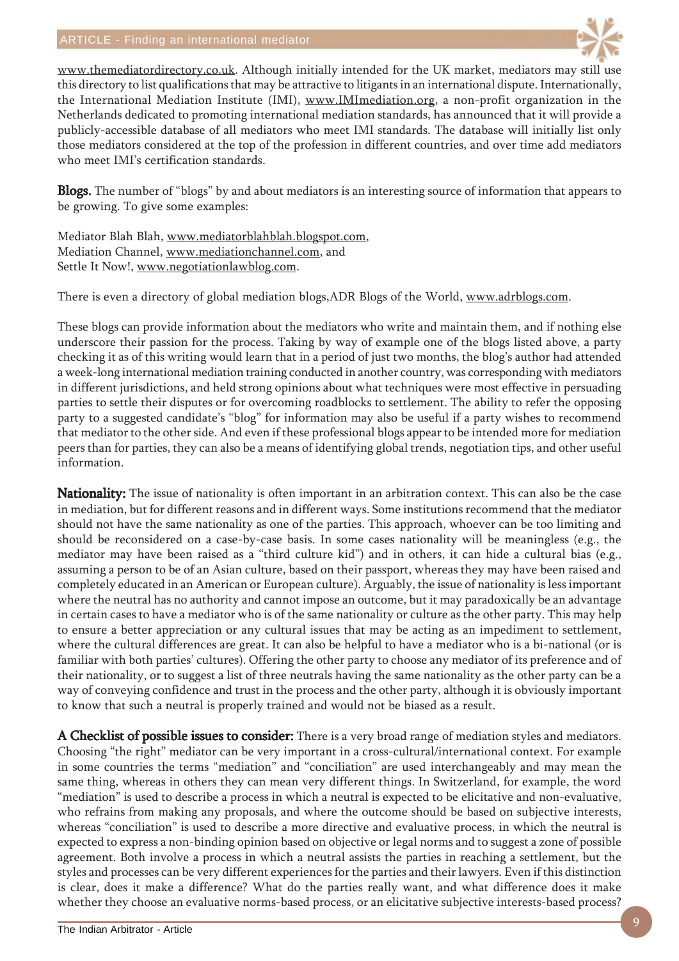

www.themediatordirectory.co.uk. Although initially intended for the UK market, mediators may still use this directory to list qualifications that may be attractive to litigants in an international dispute. Internationally, the International Mediation Institute (IMI), www.IMImediation.org, a non-profit organization in the Netherlands dedicated to promoting international mediation standards, has announced that it will provide a publicly-accessible database of all mediators who meet IMI standards. The database will initially list only those mediators considered at the top of the profession in different countries, and over time add mediators who meet IMI's certification standards.

**Blogs.** The number of "blogs" by and about mediators is an interesting source of information that appears to be growing. To give some examples:

Mediator Blah Blah, www.mediatorblahblah.blogspot.com, Mediation Channel, www.mediationchannel.com, and Settle It Now!, www.negotiationlawblog.com.

There is even a directory of global mediation blogs,ADR Blogs of the World, www.adrblogs.com.

These blogs can provide information about the mediators who write and maintain them, and if nothing else underscore their passion for the process. Taking by way of example one of the blogs listed above, a party checking it as of this writing would learn that in a period of just two months, the blog's author had attended a week-long international mediation training conducted in another country, was corresponding with mediators in different jurisdictions, and held strong opinions about what techniques were most effective in persuading parties to settle their disputes or for overcoming roadblocks to settlement. The ability to refer the opposing party to a suggested candidate's "blog" for information may also be useful if a party wishes to recommend that mediator to the other side. And even if these professional blogs appear to be intended more for mediation peers than for parties, they can also be a means of identifying global trends, negotiation tips, and other useful information.

Nationality: The issue of nationality is often important in an arbitration context. This can also be the case in mediation, but for different reasons and in different ways. Some institutions recommend that the mediator should not have the same nationality as one of the parties. This approach, whoever can be too limiting and should be reconsidered on a case-by-case basis. In some cases nationality will be meaningless (e.g., the mediator may have been raised as a "third culture kid") and in others, it can hide a cultural bias (e.g., assuming a person to be of an Asian culture, based on their passport, whereas they may have been raised and completely educated in an American or European culture). Arguably, the issue of nationality is less important where the neutral has no authority and cannot impose an outcome, but it may paradoxically be an advantage in certain cases to have a mediator who is of the same nationality or culture as the other party. This may help to ensure a better appreciation or any cultural issues that may be acting as an impediment to settlement, where the cultural differences are great. It can also be helpful to have a mediator who is a bi-national (or is familiar with both parties' cultures). Offering the other party to choose any mediator of its preference and of their nationality, or to suggest a list of three neutrals having the same nationality as the other party can be a way of conveying confidence and trust in the process and the other party, although it is obviously important to know that such a neutral is properly trained and would not be biased as a result.

A Checklist of possible issues to consider: There is a very broad range of mediation styles and mediators. Choosing "the right" mediator can be very important in a cross-cultural/international context. For example in some countries the terms "mediation" and "conciliation" are used interchangeably and may mean the same thing, whereas in others they can mean very different things. In Switzerland, for example, the word "mediation" is used to describe a process in which a neutral is expected to be elicitative and non-evaluative, who refrains from making any proposals, and where the outcome should be based on subjective interests, whereas "conciliation" is used to describe a more directive and evaluative process, in which the neutral is expected to express a non-binding opinion based on objective or legal norms and to suggest a zone of possible agreement. Both involve a process in which a neutral assists the parties in reaching a settlement, but the styles and processes can be very different experiences for the parties and their lawyers. Even if this distinction is clear, does it make a difference? What do the parties really want, and what difference does it make whether they choose an evaluative norms-based process, or an elicitative subjective interests-based process?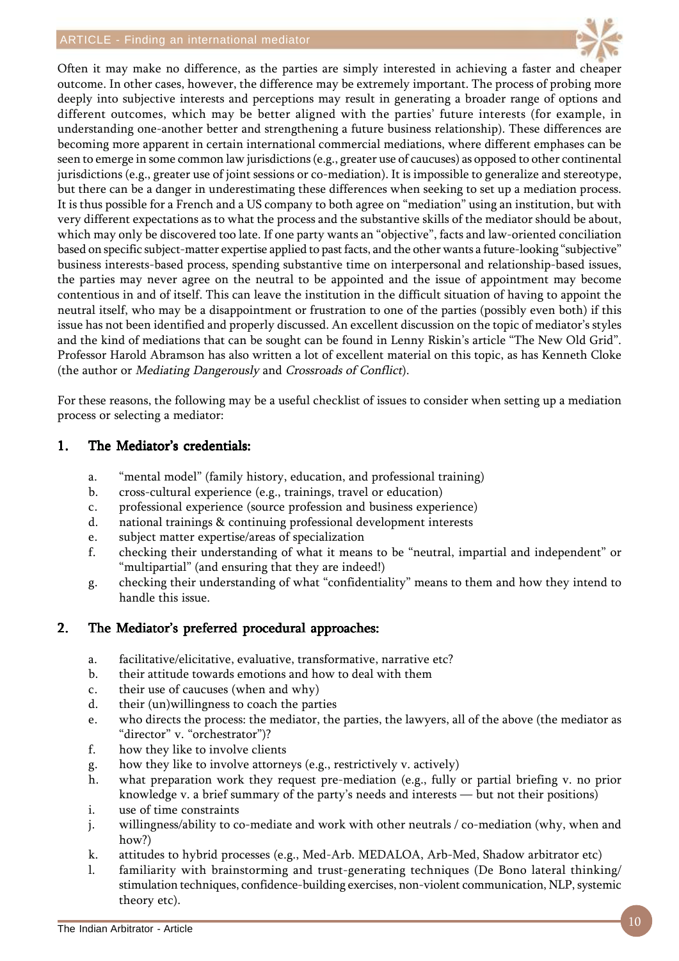

Often it may make no difference, as the parties are simply interested in achieving a faster and cheaper outcome. In other cases, however, the difference may be extremely important. The process of probing more deeply into subjective interests and perceptions may result in generating a broader range of options and different outcomes, which may be better aligned with the parties' future interests (for example, in understanding one-another better and strengthening a future business relationship). These differences are becoming more apparent in certain international commercial mediations, where different emphases can be seen to emerge in some common law jurisdictions (e.g., greater use of caucuses) as opposed to other continental jurisdictions (e.g., greater use of joint sessions or co-mediation). It is impossible to generalize and stereotype, but there can be a danger in underestimating these differences when seeking to set up a mediation process. It is thus possible for a French and a US company to both agree on "mediation" using an institution, but with very different expectations as to what the process and the substantive skills of the mediator should be about, which may only be discovered too late. If one party wants an "objective", facts and law-oriented conciliation based on specific subject-matter expertise applied to past facts, and the other wants a future-looking "subjective" business interests-based process, spending substantive time on interpersonal and relationship-based issues, the parties may never agree on the neutral to be appointed and the issue of appointment may become contentious in and of itself. This can leave the institution in the difficult situation of having to appoint the neutral itself, who may be a disappointment or frustration to one of the parties (possibly even both) if this issue has not been identified and properly discussed. An excellent discussion on the topic of mediator's styles and the kind of mediations that can be sought can be found in Lenny Riskin's article "The New Old Grid". Professor Harold Abramson has also written a lot of excellent material on this topic, as has Kenneth Cloke (the author or Mediating Dangerously and Crossroads of Conflict).

For these reasons, the following may be a useful checklist of issues to consider when setting up a mediation process or selecting a mediator:

### 1. The Mediator's credentials:

- a. "mental model" (family history, education, and professional training)
- b. cross-cultural experience (e.g., trainings, travel or education)
- c. professional experience (source profession and business experience)
- d. national trainings & continuing professional development interests
- e. subject matter expertise/areas of specialization
- f. checking their understanding of what it means to be "neutral, impartial and independent" or "multipartial" (and ensuring that they are indeed!)
- g. checking their understanding of what "confidentiality" means to them and how they intend to handle this issue.

### 2. The Mediator's preferred procedural approaches:

- a. facilitative/elicitative, evaluative, transformative, narrative etc?
- b. their attitude towards emotions and how to deal with them
- c. their use of caucuses (when and why)
- d. their (un)willingness to coach the parties
- e. who directs the process: the mediator, the parties, the lawyers, all of the above (the mediator as "director" v. "orchestrator")?
- f. how they like to involve clients
- g. how they like to involve attorneys (e.g., restrictively v. actively)
- h. what preparation work they request pre-mediation (e.g., fully or partial briefing v. no prior knowledge v. a brief summary of the party's needs and interests — but not their positions)
- i. use of time constraints
- j. willingness/ability to co-mediate and work with other neutrals / co-mediation (why, when and how?)
- k. attitudes to hybrid processes (e.g., Med-Arb. MEDALOA, Arb-Med, Shadow arbitrator etc)
- l. familiarity with brainstorming and trust-generating techniques (De Bono lateral thinking/ stimulation techniques, confidence-building exercises, non-violent communication, NLP, systemic theory etc).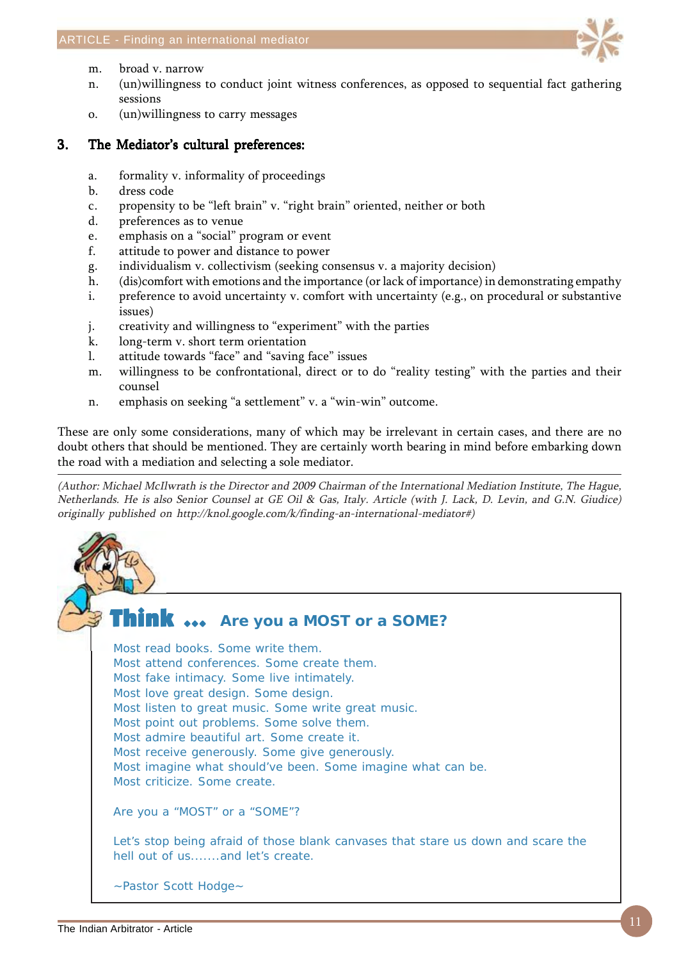

- m. broad v. narrow
- n. (un)willingness to conduct joint witness conferences, as opposed to sequential fact gathering sessions
- o. (un)willingness to carry messages

### 3. The Mediator's cultural preferences:

- a. formality v. informality of proceedings
- b. dress code
- c. propensity to be "left brain" v. "right brain" oriented, neither or both
- d. preferences as to venue
- e. emphasis on a "social" program or event
- f. attitude to power and distance to power
- g. individualism v. collectivism (seeking consensus v. a majority decision)
- h. (dis)comfort with emotions and the importance (or lack of importance) in demonstrating empathy
- i. preference to avoid uncertainty v. comfort with uncertainty (e.g., on procedural or substantive issues)
- j. creativity and willingness to "experiment" with the parties
- k. long-term v. short term orientation
- l. attitude towards "face" and "saving face" issues
- m. willingness to be confrontational, direct or to do "reality testing" with the parties and their counsel
- n. emphasis on seeking "a settlement" v. a "win-win" outcome.

These are only some considerations, many of which may be irrelevant in certain cases, and there are no doubt others that should be mentioned. They are certainly worth bearing in mind before embarking down the road with a mediation and selecting a sole mediator.

(Author: Michael McIlwrath is the Director and 2009 Chairman of the International Mediation Institute, The Hague, Netherlands. He is also Senior Counsel at GE Oil & Gas, Italy. Article (with J. Lack, D. Levin, and G.N. Giudice) originally published on http://knol.google.com/k/finding-an-international-mediator#)

## **Think ...** Are you a MOST or a SOME?

Most read books. Some write them. Most attend conferences. Some create them. Most fake intimacy. Some live intimately. Most love great design. Some design. Most listen to great music. Some write great music. Most point out problems. Some solve them. Most admire beautiful art. Some create it. Most receive generously. Some give generously. Most imagine what should've been. Some imagine what can be. Most criticize. Some create. Are you a "MOST" or a "SOME"? Let's stop being afraid of those blank canvases that stare us down and scare the hell out of us.......and let's create.

~Pastor Scott Hodge~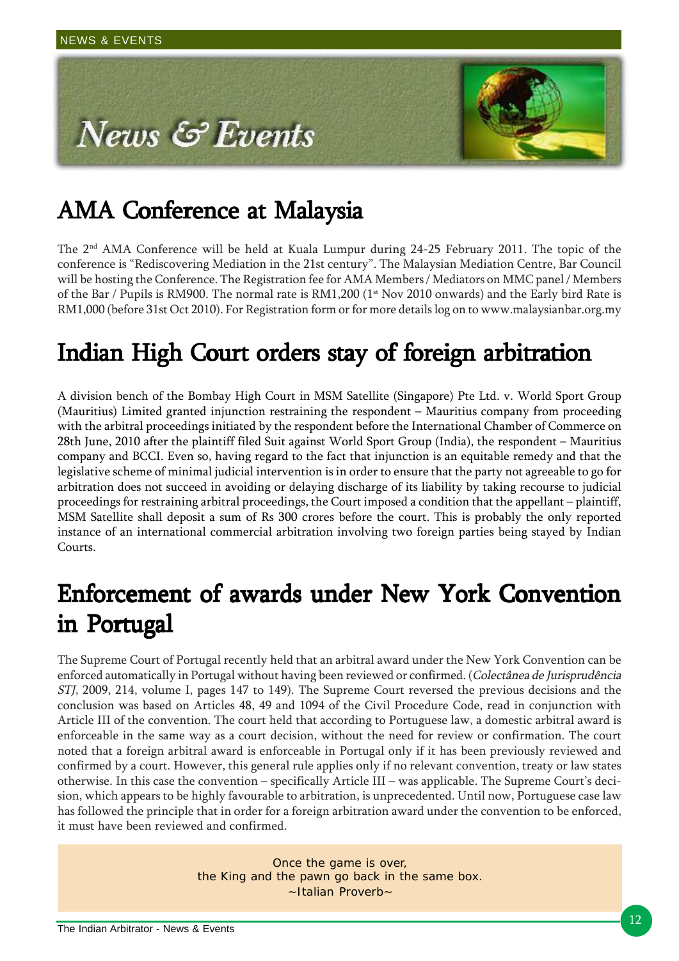

# AMA Conference at Malaysia

The 2<sup>nd</sup> AMA Conference will be held at Kuala Lumpur during 24-25 February 2011. The topic of the conference is "Rediscovering Mediation in the 21st century". The Malaysian Mediation Centre, Bar Council will be hosting the Conference. The Registration fee for AMA Members / Mediators on MMC panel / Members of the Bar / Pupils is RM900. The normal rate is  $RM1,200$  ( $1$ <sup>st</sup> Nov 2010 onwards) and the Early bird Rate is RM1,000 (before 31st Oct 2010). For Registration form or for more details log on to www.malaysianbar.org.my

# Indian High Court orders stay of foreign arbitration

A division bench of the Bombay High Court in MSM Satellite (Singapore) Pte Ltd. v. World Sport Group (Mauritius) Limited granted injunction restraining the respondent – Mauritius company from proceeding with the arbitral proceedings initiated by the respondent before the International Chamber of Commerce on 28th June, 2010 after the plaintiff filed Suit against World Sport Group (India), the respondent – Mauritius company and BCCI. Even so, having regard to the fact that injunction is an equitable remedy and that the legislative scheme of minimal judicial intervention is in order to ensure that the party not agreeable to go for arbitration does not succeed in avoiding or delaying discharge of its liability by taking recourse to judicial proceedings for restraining arbitral proceedings, the Court imposed a condition that the appellant – plaintiff, MSM Satellite shall deposit a sum of Rs 300 crores before the court. This is probably the only reported instance of an international commercial arbitration involving two foreign parties being stayed by Indian Courts.

# Enforcement of awards under New York Convention in Portugal

The Supreme Court of Portugal recently held that an arbitral award under the New York Convention can be enforced automatically in Portugal without having been reviewed or confirmed. (Colectânea de Jurisprudência STJ, 2009, 214, volume I, pages 147 to 149). The Supreme Court reversed the previous decisions and the conclusion was based on Articles 48, 49 and 1094 of the Civil Procedure Code, read in conjunction with Article III of the convention. The court held that according to Portuguese law, a domestic arbitral award is enforceable in the same way as a court decision, without the need for review or confirmation. The court noted that a foreign arbitral award is enforceable in Portugal only if it has been previously reviewed and confirmed by a court. However, this general rule applies only if no relevant convention, treaty or law states otherwise. In this case the convention – specifically Article III – was applicable. The Supreme Court's decision, which appears to be highly favourable to arbitration, is unprecedented. Until now, Portuguese case law has followed the principle that in order for a foreign arbitration award under the convention to be enforced, it must have been reviewed and confirmed.

> Once the game is over, the King and the pawn go back in the same box. ~Italian Proverb~